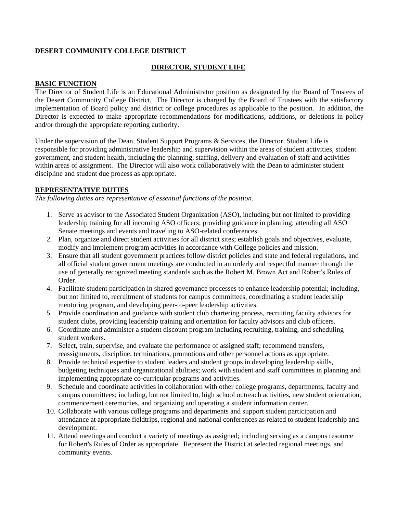### **DESERT COMMUNITY COLLEGE DISTRICT**

# **DIRECTOR, STUDENT LIFE**

## **BASIC FUNCTION**

The Director of Student Life is an Educational Administrator position as designated by the Board of Trustees of the Desert Community College District. The Director is charged by the Board of Trustees with the satisfactory implementation of Board policy and district or college procedures as applicable to the position. In addition, the Director is expected to make appropriate recommendations for modifications, additions, or deletions in policy and/or through the appropriate reporting authority.

Under the supervision of the Dean, Student Support Programs & Services, the Director, Student Life is responsible for providing administrative leadership and supervision within the areas of student activities, student government, and student health, including the planning, staffing, delivery and evaluation of staff and activities within areas of assignment. The Director will also work collaboratively with the Dean to administer student discipline and student due process as appropriate.

## **REPRESENTATIVE DUTIES**

*The following duties are representative of essential functions of the position.*

- 1. Serve as advisor to the Associated Student Organization (ASO), including but not limited to providing leadership training for all incoming ASO officers; providing guidance in planning; attending all ASO Senate meetings and events and traveling to ASO-related conferences.
- 2. Plan, organize and direct student activities for all district sites; establish goals and objectives, evaluate, modify and implement program activities in accordance with College policies and mission.
- 3. Ensure that all student government practices follow district policies and state and federal regulations, and all official student government meetings are conducted in an orderly and respectful manner through the use of generally recognized meeting standards such as the Robert M. Brown Act and Robert's Rules of Order.
- 4. Facilitate student participation in shared governance processes to enhance leadership potential; including, but not limited to, recruitment of students for campus committees, coordinating a student leadership mentoring program, and developing peer-to-peer leadership activities.
- 5. Provide coordination and guidance with student club chartering process, recruiting faculty advisors for student clubs, providing leadership training and orientation for faculty advisors and club officers.
- 6. Coordinate and administer a student discount program including recruiting, training, and scheduling student workers.
- 7. Select, train, supervise, and evaluate the performance of assigned staff; recommend transfers, reassignments, discipline, terminations, promotions and other personnel actions as appropriate.
- 8. Provide technical expertise to student leaders and student groups in developing leadership skills, budgeting techniques and organizational abilities; work with student and staff committees in planning and implementing appropriate co-curricular programs and activities.
- 9. Schedule and coordinate activities in collaboration with other college programs, departments, faculty and campus committees; including, but not limited to, high school outreach activities, new student orientation, commencement ceremonies, and organizing and operating a student information center.
- 10. Collaborate with various college programs and departments and support student participation and attendance at appropriate fieldtrips, regional and national conferences as related to student leadership and development.
- 11. Attend meetings and conduct a variety of meetings as assigned; including serving as a campus resource for Robert's Rules of Order as appropriate. Represent the District at selected regional meetings, and community events.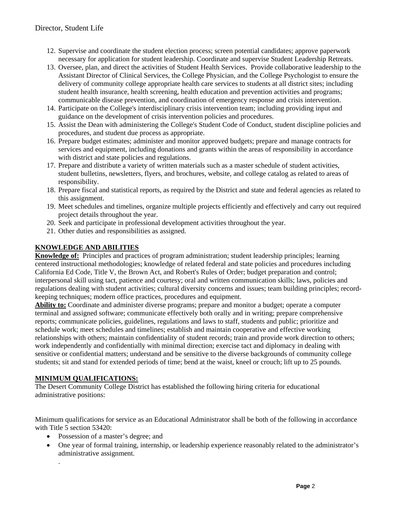- 12. Supervise and coordinate the student election process; screen potential candidates; approve paperwork necessary for application for student leadership. Coordinate and supervise Student Leadership Retreats.
- 13. Oversee, plan, and direct the activities of Student Health Services. Provide collaborative leadership to the Assistant Director of Clinical Services, the College Physician, and the College Psychologist to ensure the delivery of community college appropriate health care services to students at all district sites; including student health insurance, health screening, health education and prevention activities and programs; communicable disease prevention, and coordination of emergency response and crisis intervention.
- 14. Participate on the College's interdisciplinary crisis intervention team; including providing input and guidance on the development of crisis intervention policies and procedures.
- 15. Assist the Dean with administering the College's Student Code of Conduct, student discipline policies and procedures, and student due process as appropriate.
- 16. Prepare budget estimates; administer and monitor approved budgets; prepare and manage contracts for services and equipment, including donations and grants within the areas of responsibility in accordance with district and state policies and regulations.
- 17. Prepare and distribute a variety of written materials such as a master schedule of student activities, student bulletins, newsletters, flyers, and brochures, website, and college catalog as related to areas of responsibility.
- 18. Prepare fiscal and statistical reports, as required by the District and state and federal agencies as related to this assignment.
- 19. Meet schedules and timelines, organize multiple projects efficiently and effectively and carry out required project details throughout the year.
- 20. Seek and participate in professional development activities throughout the year.
- 21. Other duties and responsibilities as assigned.

# **KNOWLEDGE AND ABILITIES**

**Knowledge of:** Principles and practices of program administration; student leadership principles; learning centered instructional methodologies; knowledge of related federal and state policies and procedures including California Ed Code, Title V, the Brown Act, and Robert's Rules of Order; budget preparation and control; interpersonal skill using tact, patience and courtesy; oral and written communication skills; laws, policies and regulations dealing with student activities; cultural diversity concerns and issues; team building principles; recordkeeping techniques; modern office practices, procedures and equipment.

**Ability to:** Coordinate and administer diverse programs; prepare and monitor a budget; operate a computer terminal and assigned software; communicate effectively both orally and in writing; prepare comprehensive reports; communicate policies, guidelines, regulations and laws to staff, students and public; prioritize and schedule work; meet schedules and timelines; establish and maintain cooperative and effective working relationships with others; maintain confidentiality of student records; train and provide work direction to others; work independently and confidentially with minimal direction; exercise tact and diplomacy in dealing with sensitive or confidential matters; understand and be sensitive to the diverse backgrounds of community college students; sit and stand for extended periods of time; bend at the waist, kneel or crouch; lift up to 25 pounds.

# **MINIMUM QUALIFICATIONS:**

.

The Desert Community College District has established the following hiring criteria for educational administrative positions:

Minimum qualifications for service as an Educational Administrator shall be both of the following in accordance with Title 5 section 53420:

- Possession of a master's degree; and
- One year of formal training, internship, or leadership experience reasonably related to the administrator's administrative assignment.